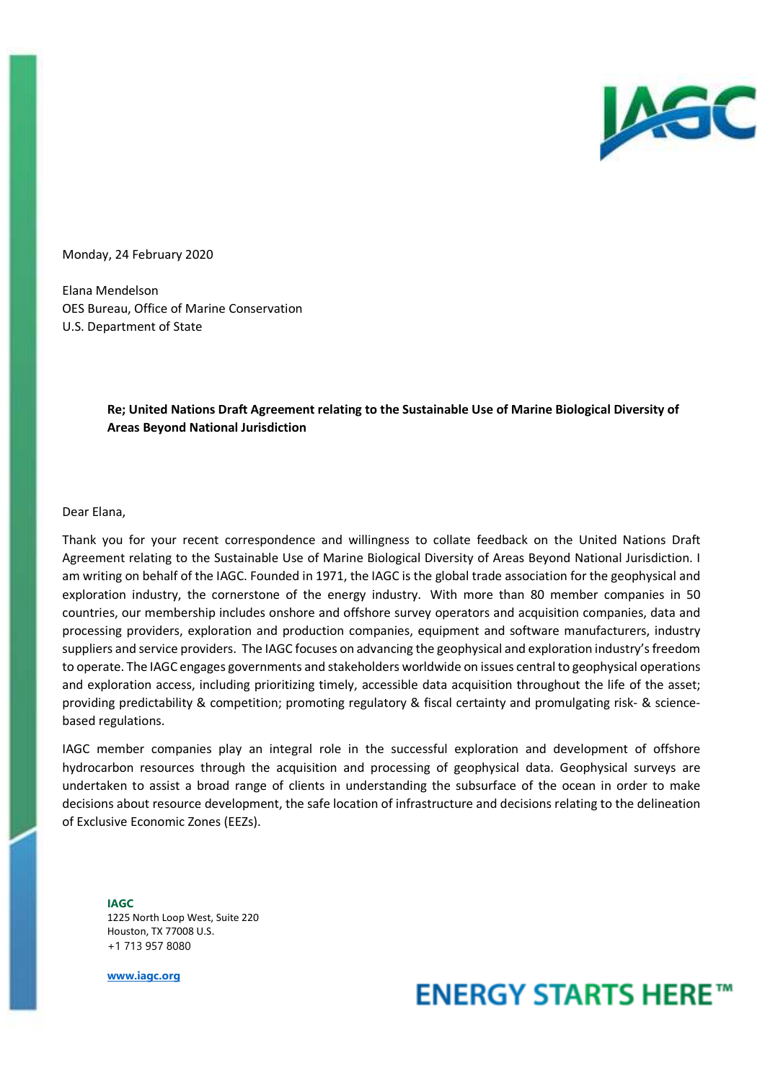

Monday, 24 February 2020

Elana Mendelson OES Bureau, Office of Marine Conservation U.S. Department of State

> **Re; United Nations Draft Agreement relating to the Sustainable Use of Marine Biological Diversity of Areas Beyond National Jurisdiction**

### Dear Elana,

Thank you for your recent correspondence and willingness to collate feedback on the United Nations Draft Agreement relating to the Sustainable Use of Marine Biological Diversity of Areas Beyond National Jurisdiction. I am writing on behalf of the IAGC. Founded in 1971, the IAGC is the global trade association for the geophysical and exploration industry, the cornerstone of the energy industry. With more than 80 member companies in 50 countries, our membership includes onshore and offshore survey operators and acquisition companies, data and processing providers, exploration and production companies, equipment and software manufacturers, industry suppliers and service providers. The IAGC focuses on advancing the geophysical and exploration industry's freedom to operate. The IAGC engages governments and stakeholders worldwide on issues central to geophysical operations and exploration access, including prioritizing timely, accessible data acquisition throughout the life of the asset; providing predictability & competition; promoting regulatory & fiscal certainty and promulgating risk- & sciencebased regulations.

IAGC member companies play an integral role in the successful exploration and development of offshore hydrocarbon resources through the acquisition and processing of geophysical data. Geophysical surveys are undertaken to assist a broad range of clients in understanding the subsurface of the ocean in order to make decisions about resource development, the safe location of infrastructure and decisions relating to the delineation of Exclusive Economic Zones (EEZs).

**IAGC**  1225 North Loop West, Suite 220 Houston, TX 77008 U.S. +1 713 957 8080

**www.iagc.org**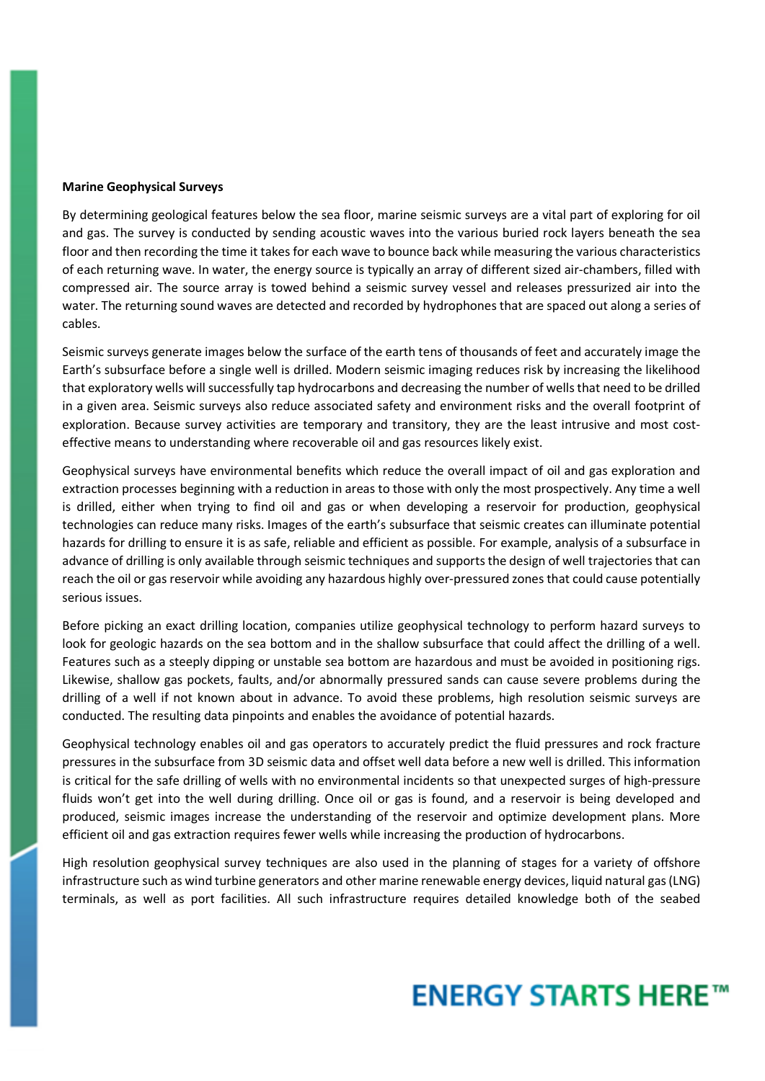### **Marine Geophysical Surveys**

By determining geological features below the sea floor, marine seismic surveys are a vital part of exploring for oil and gas. The survey is conducted by sending acoustic waves into the various buried rock layers beneath the sea floor and then recording the time it takes for each wave to bounce back while measuring the various characteristics of each returning wave. In water, the energy source is typically an array of different sized air-chambers, filled with compressed air. The source array is towed behind a seismic survey vessel and releases pressurized air into the water. The returning sound waves are detected and recorded by hydrophones that are spaced out along a series of cables.

Seismic surveys generate images below the surface of the earth tens of thousands of feet and accurately image the Earth's subsurface before a single well is drilled. Modern seismic imaging reduces risk by increasing the likelihood that exploratory wells will successfully tap hydrocarbons and decreasing the number of wells that need to be drilled in a given area. Seismic surveys also reduce associated safety and environment risks and the overall footprint of exploration. Because survey activities are temporary and transitory, they are the least intrusive and most costeffective means to understanding where recoverable oil and gas resources likely exist.

Geophysical surveys have environmental benefits which reduce the overall impact of oil and gas exploration and extraction processes beginning with a reduction in areas to those with only the most prospectively. Any time a well is drilled, either when trying to find oil and gas or when developing a reservoir for production, geophysical technologies can reduce many risks. Images of the earth's subsurface that seismic creates can illuminate potential hazards for drilling to ensure it is as safe, reliable and efficient as possible. For example, analysis of a subsurface in advance of drilling is only available through seismic techniques and supports the design of well trajectories that can reach the oil or gas reservoir while avoiding any hazardous highly over-pressured zones that could cause potentially serious issues.

Before picking an exact drilling location, companies utilize geophysical technology to perform hazard surveys to look for geologic hazards on the sea bottom and in the shallow subsurface that could affect the drilling of a well. Features such as a steeply dipping or unstable sea bottom are hazardous and must be avoided in positioning rigs. Likewise, shallow gas pockets, faults, and/or abnormally pressured sands can cause severe problems during the drilling of a well if not known about in advance. To avoid these problems, high resolution seismic surveys are conducted. The resulting data pinpoints and enables the avoidance of potential hazards.

Geophysical technology enables oil and gas operators to accurately predict the fluid pressures and rock fracture pressures in the subsurface from 3D seismic data and offset well data before a new well is drilled. This information is critical for the safe drilling of wells with no environmental incidents so that unexpected surges of high-pressure fluids won't get into the well during drilling. Once oil or gas is found, and a reservoir is being developed and produced, seismic images increase the understanding of the reservoir and optimize development plans. More efficient oil and gas extraction requires fewer wells while increasing the production of hydrocarbons.

High resolution geophysical survey techniques are also used in the planning of stages for a variety of offshore infrastructure such as wind turbine generators and other marine renewable energy devices, liquid natural gas (LNG) terminals, as well as port facilities. All such infrastructure requires detailed knowledge both of the seabed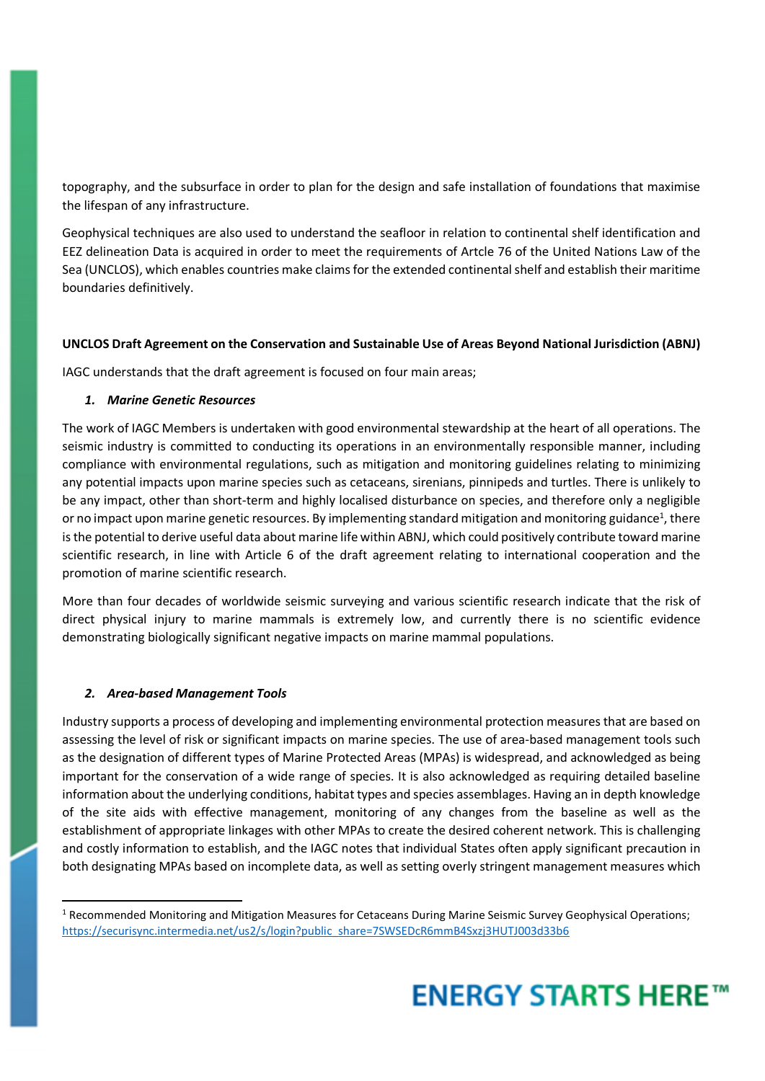topography, and the subsurface in order to plan for the design and safe installation of foundations that maximise the lifespan of any infrastructure.

Geophysical techniques are also used to understand the seafloor in relation to continental shelf identification and EEZ delineation Data is acquired in order to meet the requirements of Artcle 76 of the United Nations Law of the Sea (UNCLOS), which enables countries make claims for the extended continental shelf and establish their maritime boundaries definitively.

## **UNCLOS Draft Agreement on the Conservation and Sustainable Use of Areas Beyond National Jurisdiction (ABNJ)**

IAGC understands that the draft agreement is focused on four main areas;

## *1. Marine Genetic Resources*

The work of IAGC Members is undertaken with good environmental stewardship at the heart of all operations. The seismic industry is committed to conducting its operations in an environmentally responsible manner, including compliance with environmental regulations, such as mitigation and monitoring guidelines relating to minimizing any potential impacts upon marine species such as cetaceans, sirenians, pinnipeds and turtles. There is unlikely to be any impact, other than short-term and highly localised disturbance on species, and therefore only a negligible or no impact upon marine genetic resources. By implementing standard mitigation and monitoring guidance<sup>1</sup>, there is the potential to derive useful data about marine life within ABNJ, which could positively contribute toward marine scientific research, in line with Article 6 of the draft agreement relating to international cooperation and the promotion of marine scientific research.

More than four decades of worldwide seismic surveying and various scientific research indicate that the risk of direct physical injury to marine mammals is extremely low, and currently there is no scientific evidence demonstrating biologically significant negative impacts on marine mammal populations.

## *2. Area-based Management Tools*

l

Industry supports a process of developing and implementing environmental protection measures that are based on assessing the level of risk or significant impacts on marine species. The use of area-based management tools such as the designation of different types of Marine Protected Areas (MPAs) is widespread, and acknowledged as being important for the conservation of a wide range of species. It is also acknowledged as requiring detailed baseline information about the underlying conditions, habitat types and species assemblages. Having an in depth knowledge of the site aids with effective management, monitoring of any changes from the baseline as well as the establishment of appropriate linkages with other MPAs to create the desired coherent network. This is challenging and costly information to establish, and the IAGC notes that individual States often apply significant precaution in both designating MPAs based on incomplete data, as well as setting overly stringent management measures which

<sup>&</sup>lt;sup>1</sup> Recommended Monitoring and Mitigation Measures for Cetaceans During Marine Seismic Survey Geophysical Operations; https://securisync.intermedia.net/us2/s/login?public\_share=7SWSEDcR6mmB4Sxzj3HUTJ003d33b6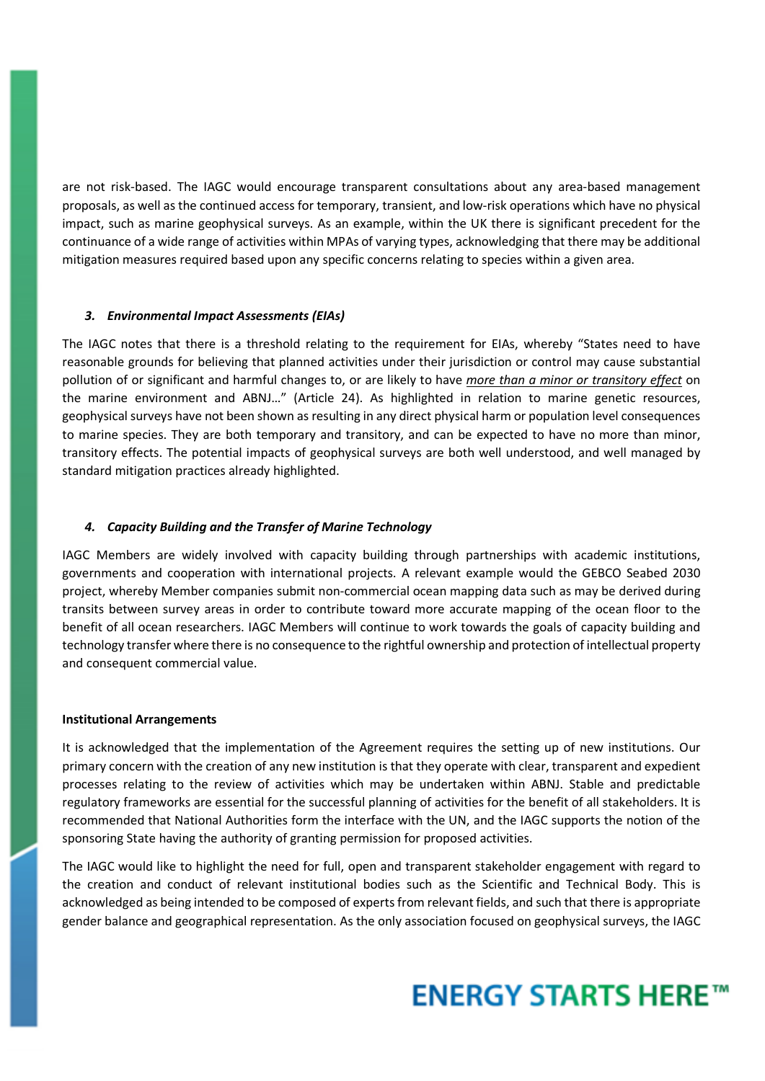are not risk-based. The IAGC would encourage transparent consultations about any area-based management proposals, as well as the continued access for temporary, transient, and low-risk operations which have no physical impact, such as marine geophysical surveys. As an example, within the UK there is significant precedent for the continuance of a wide range of activities within MPAs of varying types, acknowledging that there may be additional mitigation measures required based upon any specific concerns relating to species within a given area.

### *3. Environmental Impact Assessments (EIAs)*

The IAGC notes that there is a threshold relating to the requirement for EIAs, whereby "States need to have reasonable grounds for believing that planned activities under their jurisdiction or control may cause substantial pollution of or significant and harmful changes to, or are likely to have *more than a minor or transitory effect* on the marine environment and ABNJ…" (Article 24). As highlighted in relation to marine genetic resources, geophysical surveys have not been shown as resulting in any direct physical harm or population level consequences to marine species. They are both temporary and transitory, and can be expected to have no more than minor, transitory effects. The potential impacts of geophysical surveys are both well understood, and well managed by standard mitigation practices already highlighted.

### *4. Capacity Building and the Transfer of Marine Technology*

IAGC Members are widely involved with capacity building through partnerships with academic institutions, governments and cooperation with international projects. A relevant example would the GEBCO Seabed 2030 project, whereby Member companies submit non-commercial ocean mapping data such as may be derived during transits between survey areas in order to contribute toward more accurate mapping of the ocean floor to the benefit of all ocean researchers. IAGC Members will continue to work towards the goals of capacity building and technology transfer where there is no consequence to the rightful ownership and protection of intellectual property and consequent commercial value.

### **Institutional Arrangements**

It is acknowledged that the implementation of the Agreement requires the setting up of new institutions. Our primary concern with the creation of any new institution is that they operate with clear, transparent and expedient processes relating to the review of activities which may be undertaken within ABNJ. Stable and predictable regulatory frameworks are essential for the successful planning of activities for the benefit of all stakeholders. It is recommended that National Authorities form the interface with the UN, and the IAGC supports the notion of the sponsoring State having the authority of granting permission for proposed activities.

The IAGC would like to highlight the need for full, open and transparent stakeholder engagement with regard to the creation and conduct of relevant institutional bodies such as the Scientific and Technical Body. This is acknowledged as being intended to be composed of experts from relevant fields, and such that there is appropriate gender balance and geographical representation. As the only association focused on geophysical surveys, the IAGC